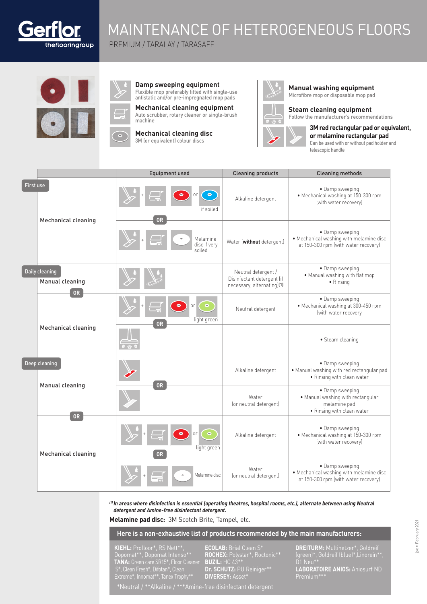

# MAINTENANCE OF HETEROGENEOUS FLOORS

PREMIUM / TARALAY / TARASAFE



| $\Delta$ | Damp sweeping equipment                                                                      |
|----------|----------------------------------------------------------------------------------------------|
|          | Flexible mop preferably fitted with single-use<br>antistatic and/or pre-impregnated mop pads |
|          | Mechanical cleaning equipment                                                                |

**g** equipment Auto scrubber, rotary cleaner or single-brush machine

**Mechanical cleaning disc** 3M (or equivalent) colour discs



**Manual washing equipment**  Microfibre mop or disposable mop pad

**Steam cleaning equipment** Follow the manufacturer's recommendations

**3M red rectangular pad or equivalent, or melamine rectangular pad**  Can be used with or without pad holder and telescopic handle

|           |                                                       | <b>Equipment used</b>                                  | <b>Cleaning products</b>                                                        | <b>Cleaning methods</b>                                                                            |
|-----------|-------------------------------------------------------|--------------------------------------------------------|---------------------------------------------------------------------------------|----------------------------------------------------------------------------------------------------|
| First use |                                                       | $\bullet$<br>if soiled                                 | Alkaline detergent                                                              | • Damp sweeping<br>· Mechanical washing at 150-300 rpm<br>(with water recovery)                    |
|           | <b>Mechanical cleaning</b>                            | 0 <sub>R</sub><br>Melamine<br>disc if verv<br>soiled   | Water (without detergent)                                                       | • Damp sweeping<br>. Mechanical washing with melamine disc<br>at 150-300 rpm (with water recovery) |
|           | Daily cleaning<br><b>Manual cleaning</b><br><b>OR</b> |                                                        | Neutral detergent /<br>Disinfectant detergent (if<br>necessary, alternating)[1] | • Damp sweeping<br>. Manual washing with flat mop<br>• Rinsing                                     |
|           |                                                       | or<br>light green<br>0R                                | Neutral detergent                                                               | • Damp sweeping<br>· Mechanical washing at 300-450 rpm<br>(with water recovery                     |
|           | Mechanical cleaning                                   |                                                        |                                                                                 | • Steam cleaning                                                                                   |
|           | Deep cleaning<br>Manual cleaning                      | 0R                                                     | Alkaline detergent                                                              | • Damp sweeping<br>. Manual washing with red rectangular pad<br>· Rinsing with clean water         |
|           |                                                       |                                                        | Water<br>(or neutral detergent)                                                 | • Damp sweeping<br>· Manual washing with rectangular<br>melamine pad<br>· Rinsing with clean water |
|           | <b>OR</b><br>Mechanical cleaning                      | $\bullet$<br><sub>or</sub><br>light green<br><b>OR</b> | Alkaline detergent                                                              | • Damp sweeping<br>• Mechanical washing at 150-300 rpm<br>(with water recovery)                    |
|           |                                                       | Melamine disc                                          | Water<br>(or neutral detergent)                                                 | • Damp sweeping<br>. Mechanical washing with melamine disc<br>at 150-300 rpm (with water recovery) |

*(1) In areas where disinfection is essential (operating theatres, hospital rooms, etc.), alternate between using Neutral detergent and Amine-free disinfectant detergent.*

**Melamine pad disc:** 3M Scotch Brite, Tampel, etc.

**Here is a non-exhaustive list of products recommended by the main manufacturers:**

**KIEHL:** Profloor\*, RS Nett\*\*, Dopomat\*\*, Dopomat Intenso\*\* **TANA:** Green care SR15\*, Floor Cleaner S\*, Clean Fresh\*, Difotan\*, Clean Extreme\*, Innomat\*\*, Tanex Trophy\*\*

**ECOLAB:** Brial Clean S\* **ROCHEX:** Polystar\*, Roctonic\*\* **BUZIL:** HC 43\*\* **Dr. SCHUTZ:** PU Reiniger\*\* **DIVERSEY:** Asset\*

**DREITURM:** Multinetzer\*, Goldreif (green)\*, Goldreif (blue)\*,Linorein\*\*, D1 Neu\*\* **LABORATOIRE ANIOS:** Aniosurf ND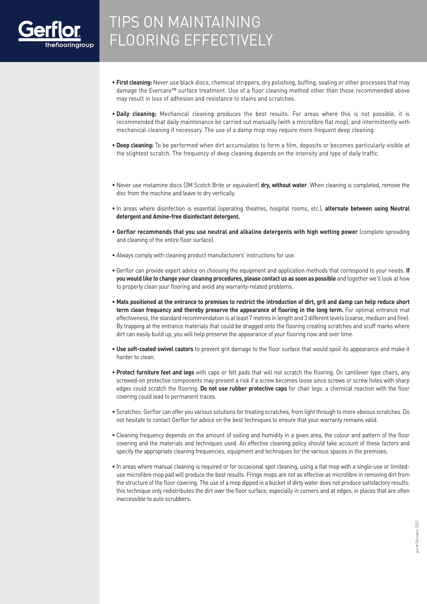

# TIPS ON MAINTAINING FLOORING EFFECTIVELY

- **First cleaning:** Never use black discs, chemical strippers, dry polishing, buffing, sealing or other processes that may damage the Evercare™ surface treatment. Use of a floor cleaning method other than those recommended above may result in loss of adhesion and resistance to stains and scratches.
- **Daily cleaning:** Mechanical cleaning produces the best results. For areas where this is not possible, it is recommended that daily maintenance be carried out manually (with a microfibre flat mop), and intermittently with mechanical cleaning if necessary. The use of a damp mop may require more frequent deep cleaning.
- **Deep cleaning:** To be performed when dirt accumulates to form a film, deposits or becomes particularly visible at the slightest scratch. The frequency of deep cleaning depends on the intensity and type of daily traffic.
- Never use melamine discs (3M Scotch Brite or equivalent) **dry, without water**. When cleaning is completed, remove the disc from the machine and leave to dry vertically.
- In areas where disinfection is essential (operating theatres, hospital rooms, etc.), **alternate between using Neutral detergent and Amine-free disinfectant detergent.**
- **Gerflor recommends that you use neutral and alkaline detergents with high wetting power** (complete spreading and cleaning of the entire floor surface).
- Always comply with cleaning product manufacturers' instructions for use.
- Gerflor can provide expert advice on choosing the equipment and application methods that correspond to your needs. **If you would like to change your cleaning procedures, please contact us as soon as possible** and together we'll look at how to properly clean your flooring and avoid any warranty-related problems.
- **Mats positioned at the entrance to premises to restrict the introduction of dirt, grit and damp can help reduce short term clean frequency and thereby preserve the appearance of flooring in the long term.** For optimal entrance mat effectiveness, the standard recommendation is at least 7 metres in length and 3 different levels (coarse, medium and fine). By trapping at the entrance materials that could be dragged onto the flooring creating scratches and scuff marks where dirt can easily build up, you will help preserve the appearance of your flooring now and over time.
- **Use soft-coated swivel castors** to prevent grit damage to the floor surface that would spoil its appearance and make it harder to clean.
- **Protect furniture feet and legs** with caps or felt pads that will not scratch the flooring. On cantilever type chairs, any screwed-on protective components may present a risk if a screw becomes loose since screws or screw holes with sharp edges could scratch the flooring. **Do not use rubber protective caps** for chair legs: a chemical reaction with the floor covering could lead to permanent traces.
- Scratches: Gerflor can offer you various solutions for treating scratches, from light through to more obvious scratches. Do not hesitate to contact Gerflor for advice on the best techniques to ensure that your warranty remains valid.
- Cleaning frequency depends on the amount of soiling and humidity in a given area, the colour and pattern of the floor covering and the materials and techniques used. An effective cleaning policy should take account of these factors and specify the appropriate cleaning frequencies, equipment and techniques for the various spaces in the premises.
- In areas where manual cleaning is required or for occasional spot cleaning, using a flat mop with a single-use or limiteduse microfibre mop pad will produce the best results. Fringe mops are not as effective as microfibre in removing dirt from the structure of the floor covering. The use of a mop dipped in a bucket of dirty water does not produce satisfactory results: this technique only redistributes the dirt over the floor surface, especially in corners and at edges, in places that are often inaccessible to auto scrubbers.